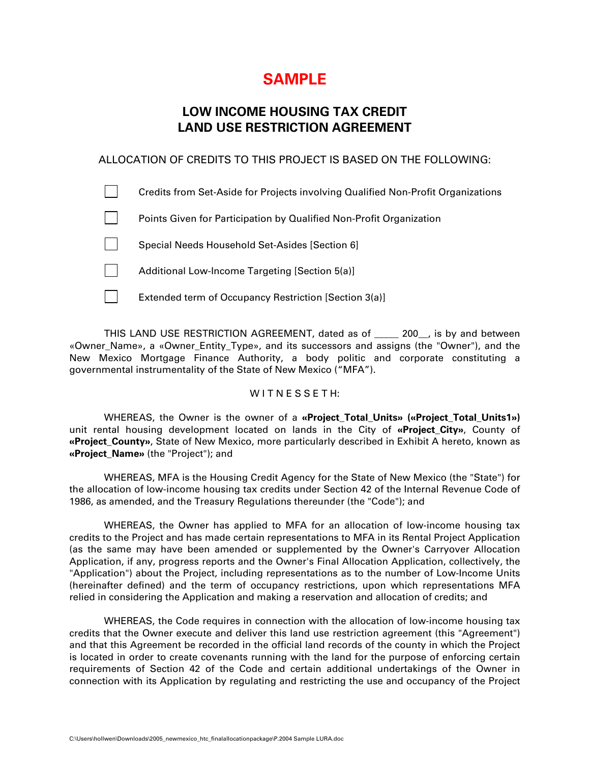# **SAMPLE**

# **LOW INCOME HOUSING TAX CREDIT LAND USE RESTRICTION AGREEMENT**

# ALLOCATION OF CREDITS TO THIS PROJECT IS BASED ON THE FOLLOWING:

| Credits from Set-Aside for Projects involving Qualified Non-Profit Organizations |
|----------------------------------------------------------------------------------|
| Points Given for Participation by Qualified Non-Profit Organization              |
| Special Needs Household Set-Asides [Section 6]                                   |
| Additional Low-Income Targeting [Section 5(a)]                                   |
| Extended term of Occupancy Restriction [Section 3(a)]                            |

THIS LAND USE RESTRICTION AGREEMENT, dated as of \_\_\_\_\_ 200\_\_, is by and between «Owner Name», a «Owner Entity Type», and its successors and assigns (the "Owner"), and the New Mexico Mortgage Finance Authority, a body politic and corporate constituting a governmental instrumentality of the State of New Mexico ("MFA").

#### WITNESSETH:

WHEREAS, the Owner is the owner of a **«Project\_Total\_Units» («Project\_Total\_Units1»)**  unit rental housing development located on lands in the City of **«Project\_City»**, County of **«Project\_County»**, State of New Mexico, more particularly described in Exhibit A hereto, known as **«Project\_Name»** (the "Project"); and

WHEREAS, MFA is the Housing Credit Agency for the State of New Mexico (the "State") for the allocation of low-income housing tax credits under Section 42 of the Internal Revenue Code of 1986, as amended, and the Treasury Regulations thereunder (the "Code"); and

WHEREAS, the Owner has applied to MFA for an allocation of low-income housing tax credits to the Project and has made certain representations to MFA in its Rental Project Application (as the same may have been amended or supplemented by the Owner's Carryover Allocation Application, if any, progress reports and the Owner's Final Allocation Application, collectively, the "Application") about the Project, including representations as to the number of Low-Income Units (hereinafter defined) and the term of occupancy restrictions, upon which representations MFA relied in considering the Application and making a reservation and allocation of credits; and

WHEREAS, the Code requires in connection with the allocation of low-income housing tax credits that the Owner execute and deliver this land use restriction agreement (this "Agreement") and that this Agreement be recorded in the official land records of the county in which the Project is located in order to create covenants running with the land for the purpose of enforcing certain requirements of Section 42 of the Code and certain additional undertakings of the Owner in connection with its Application by regulating and restricting the use and occupancy of the Project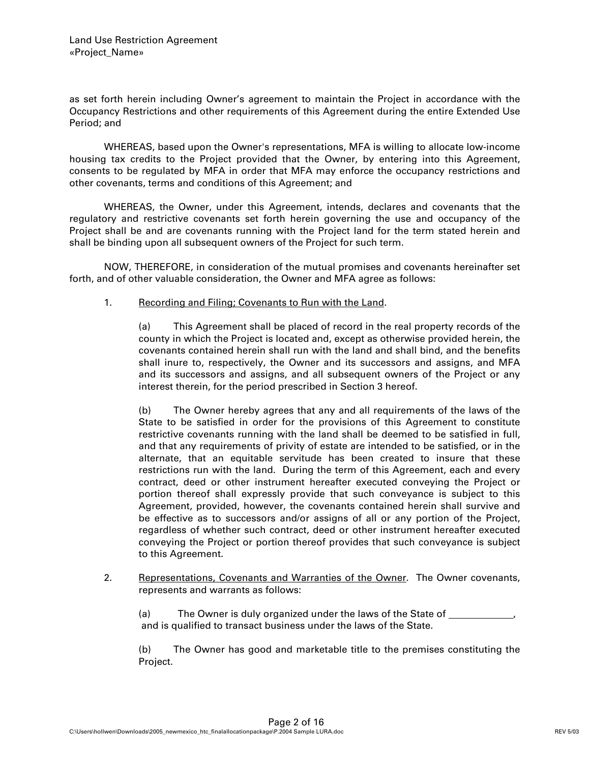as set forth herein including Owner's agreement to maintain the Project in accordance with the Occupancy Restrictions and other requirements of this Agreement during the entire Extended Use Period; and

WHEREAS, based upon the Owner's representations, MFA is willing to allocate low-income housing tax credits to the Project provided that the Owner, by entering into this Agreement, consents to be regulated by MFA in order that MFA may enforce the occupancy restrictions and other covenants, terms and conditions of this Agreement; and

WHEREAS, the Owner, under this Agreement, intends, declares and covenants that the regulatory and restrictive covenants set forth herein governing the use and occupancy of the Project shall be and are covenants running with the Project land for the term stated herein and shall be binding upon all subsequent owners of the Project for such term.

NOW, THEREFORE, in consideration of the mutual promises and covenants hereinafter set forth, and of other valuable consideration, the Owner and MFA agree as follows:

1. Recording and Filing; Covenants to Run with the Land.

(a) This Agreement shall be placed of record in the real property records of the county in which the Project is located and, except as otherwise provided herein, the covenants contained herein shall run with the land and shall bind, and the benefits shall inure to, respectively, the Owner and its successors and assigns, and MFA and its successors and assigns, and all subsequent owners of the Project or any interest therein, for the period prescribed in Section 3 hereof.

(b) The Owner hereby agrees that any and all requirements of the laws of the State to be satisfied in order for the provisions of this Agreement to constitute restrictive covenants running with the land shall be deemed to be satisfied in full, and that any requirements of privity of estate are intended to be satisfied, or in the alternate, that an equitable servitude has been created to insure that these restrictions run with the land. During the term of this Agreement, each and every contract, deed or other instrument hereafter executed conveying the Project or portion thereof shall expressly provide that such conveyance is subject to this Agreement, provided, however, the covenants contained herein shall survive and be effective as to successors and/or assigns of all or any portion of the Project, regardless of whether such contract, deed or other instrument hereafter executed conveying the Project or portion thereof provides that such conveyance is subject to this Agreement.

2. Representations, Covenants and Warranties of the Owner. The Owner covenants, represents and warrants as follows:

(a) The Owner is duly organized under the laws of the State of \_\_\_\_ and is qualified to transact business under the laws of the State.

(b) The Owner has good and marketable title to the premises constituting the Project.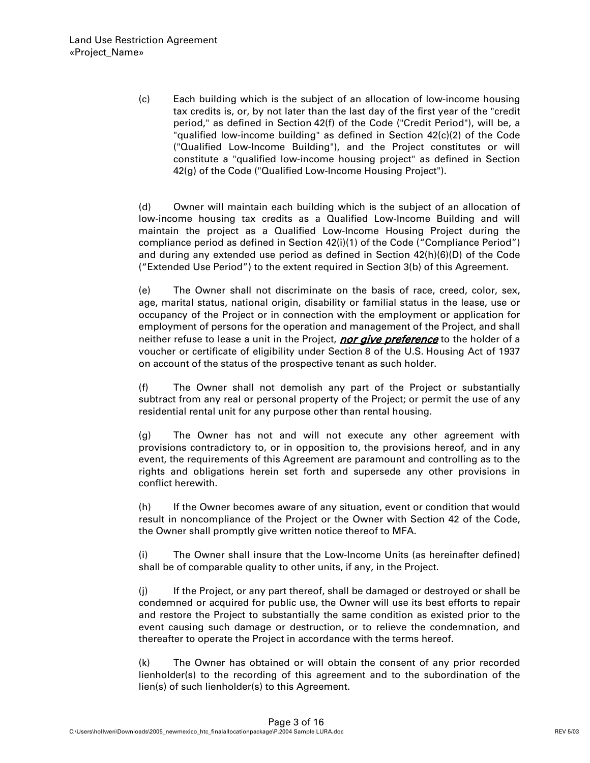(c) Each building which is the subject of an allocation of low-income housing tax credits is, or, by not later than the last day of the first year of the "credit period," as defined in Section 42(f) of the Code ("Credit Period"), will be, a "qualified low-income building" as defined in Section 42(c)(2) of the Code ("Qualified Low-Income Building"), and the Project constitutes or will constitute a "qualified low-income housing project" as defined in Section 42(g) of the Code ("Qualified Low-Income Housing Project").

(d) Owner will maintain each building which is the subject of an allocation of low-income housing tax credits as a Qualified Low-Income Building and will maintain the project as a Qualified Low-Income Housing Project during the compliance period as defined in Section 42(i)(1) of the Code ("Compliance Period") and during any extended use period as defined in Section 42(h)(6)(D) of the Code ("Extended Use Period") to the extent required in Section 3(b) of this Agreement.

(e) The Owner shall not discriminate on the basis of race, creed, color, sex, age, marital status, national origin, disability or familial status in the lease, use or occupancy of the Project or in connection with the employment or application for employment of persons for the operation and management of the Project, and shall neither refuse to lease a unit in the Project, nor give preference to the holder of a voucher or certificate of eligibility under Section 8 of the U.S. Housing Act of 1937 on account of the status of the prospective tenant as such holder.

(f) The Owner shall not demolish any part of the Project or substantially subtract from any real or personal property of the Project; or permit the use of any residential rental unit for any purpose other than rental housing.

(g) The Owner has not and will not execute any other agreement with provisions contradictory to, or in opposition to, the provisions hereof, and in any event, the requirements of this Agreement are paramount and controlling as to the rights and obligations herein set forth and supersede any other provisions in conflict herewith.

(h) If the Owner becomes aware of any situation, event or condition that would result in noncompliance of the Project or the Owner with Section 42 of the Code, the Owner shall promptly give written notice thereof to MFA.

(i) The Owner shall insure that the Low-Income Units (as hereinafter defined) shall be of comparable quality to other units, if any, in the Project.

(j) If the Project, or any part thereof, shall be damaged or destroyed or shall be condemned or acquired for public use, the Owner will use its best efforts to repair and restore the Project to substantially the same condition as existed prior to the event causing such damage or destruction, or to relieve the condemnation, and thereafter to operate the Project in accordance with the terms hereof.

(k) The Owner has obtained or will obtain the consent of any prior recorded lienholder(s) to the recording of this agreement and to the subordination of the lien(s) of such lienholder(s) to this Agreement.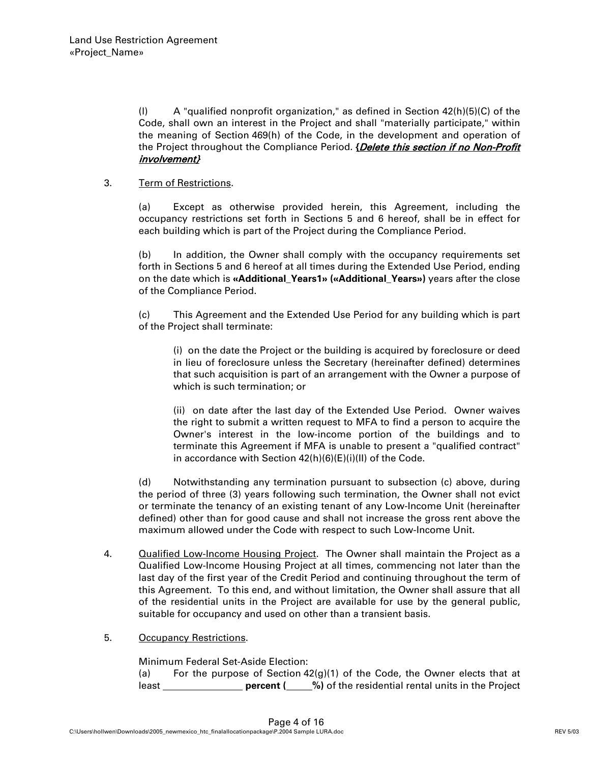(l) A "qualified nonprofit organization," as defined in Section 42(h)(5)(C) of the Code, shall own an interest in the Project and shall "materially participate," within the meaning of Section 469(h) of the Code, in the development and operation of the Project throughout the Compliance Period. **{**Delete this section if no Non-Profit involvement}

#### 3. Term of Restrictions.

(a) Except as otherwise provided herein, this Agreement, including the occupancy restrictions set forth in Sections 5 and 6 hereof, shall be in effect for each building which is part of the Project during the Compliance Period.

(b) In addition, the Owner shall comply with the occupancy requirements set forth in Sections 5 and 6 hereof at all times during the Extended Use Period, ending on the date which is **«Additional\_Years1» («Additional\_Years»)** years after the close of the Compliance Period.

(c) This Agreement and the Extended Use Period for any building which is part of the Project shall terminate:

(i) on the date the Project or the building is acquired by foreclosure or deed in lieu of foreclosure unless the Secretary (hereinafter defined) determines that such acquisition is part of an arrangement with the Owner a purpose of which is such termination; or

(ii) on date after the last day of the Extended Use Period. Owner waives the right to submit a written request to MFA to find a person to acquire the Owner's interest in the low-income portion of the buildings and to terminate this Agreement if MFA is unable to present a "qualified contract" in accordance with Section 42(h)(6)(E)(i)(II) of the Code.

(d) Notwithstanding any termination pursuant to subsection (c) above, during the period of three (3) years following such termination, the Owner shall not evict or terminate the tenancy of an existing tenant of any Low-Income Unit (hereinafter defined) other than for good cause and shall not increase the gross rent above the maximum allowed under the Code with respect to such Low-Income Unit.

- 4. Qualified Low-Income Housing Project. The Owner shall maintain the Project as a Qualified Low-Income Housing Project at all times, commencing not later than the last day of the first year of the Credit Period and continuing throughout the term of this Agreement. To this end, and without limitation, the Owner shall assure that all of the residential units in the Project are available for use by the general public, suitable for occupancy and used on other than a transient basis.
- 5. Occupancy Restrictions.

Minimum Federal Set-Aside Election:

(a) For the purpose of Section  $42(g)(1)$  of the Code, the Owner elects that at least \_\_\_\_\_\_\_\_\_\_\_\_\_\_\_\_\_\_\_\_\_ percent (\_\_\_\_%) of the residential rental units in the Project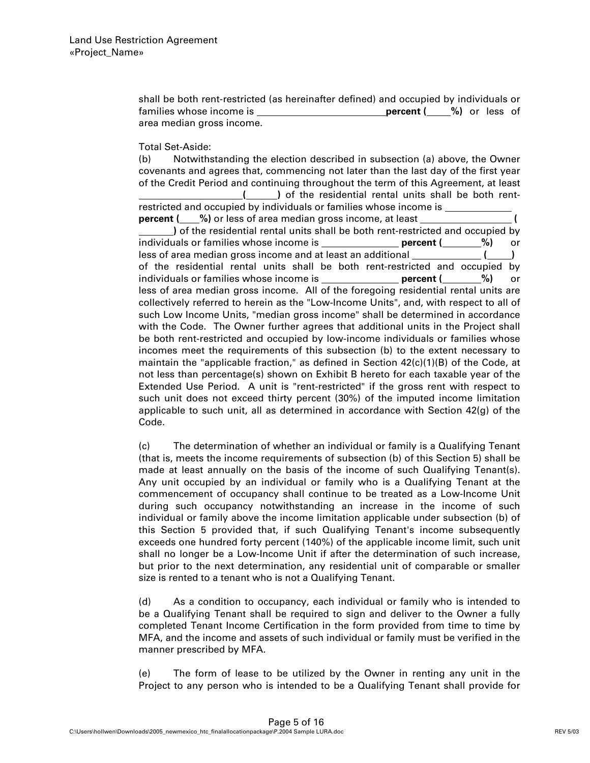shall be both rent-restricted (as hereinafter defined) and occupied by individuals or families whose income is **percent** (  $\frac{9}{2}$ ) or less of area median gross income.

Total Set-Aside:

(b) Notwithstanding the election described in subsection (a) above, the Owner covenants and agrees that, commencing not later than the last day of the first year of the Credit Period and continuing throughout the term of this Agreement, at least  **( )** of the residential rental units shall be both rentrestricted and occupied by individuals or families whose income is **percent ( %)** or less of area median gross income, at least **( )** of the residential rental units shall be both rent-restricted and occupied by individuals or families whose income is **percent (100 million** 100 more incomponent (200 more included) less of area median gross income and at least an additional **[10, 2010**] of the residential rental units shall be both rent-restricted and occupied by individuals or families whose income is **percent ( %)** or less of area median gross income. All of the foregoing residential rental units are collectively referred to herein as the "Low-Income Units", and, with respect to all of such Low Income Units, "median gross income" shall be determined in accordance with the Code. The Owner further agrees that additional units in the Project shall be both rent-restricted and occupied by low-income individuals or families whose incomes meet the requirements of this subsection (b) to the extent necessary to maintain the "applicable fraction," as defined in Section  $42(c)(1)(B)$  of the Code, at not less than percentage(s) shown on Exhibit B hereto for each taxable year of the Extended Use Period. A unit is "rent-restricted" if the gross rent with respect to such unit does not exceed thirty percent (30%) of the imputed income limitation applicable to such unit, all as determined in accordance with Section 42(g) of the Code.

(c) The determination of whether an individual or family is a Qualifying Tenant (that is, meets the income requirements of subsection (b) of this Section 5) shall be made at least annually on the basis of the income of such Qualifying Tenant(s). Any unit occupied by an individual or family who is a Qualifying Tenant at the commencement of occupancy shall continue to be treated as a Low-Income Unit during such occupancy notwithstanding an increase in the income of such individual or family above the income limitation applicable under subsection (b) of this Section 5 provided that, if such Qualifying Tenant's income subsequently exceeds one hundred forty percent (140%) of the applicable income limit, such unit shall no longer be a Low-Income Unit if after the determination of such increase, but prior to the next determination, any residential unit of comparable or smaller size is rented to a tenant who is not a Qualifying Tenant.

(d) As a condition to occupancy, each individual or family who is intended to be a Qualifying Tenant shall be required to sign and deliver to the Owner a fully completed Tenant Income Certification in the form provided from time to time by MFA, and the income and assets of such individual or family must be verified in the manner prescribed by MFA.

(e) The form of lease to be utilized by the Owner in renting any unit in the Project to any person who is intended to be a Qualifying Tenant shall provide for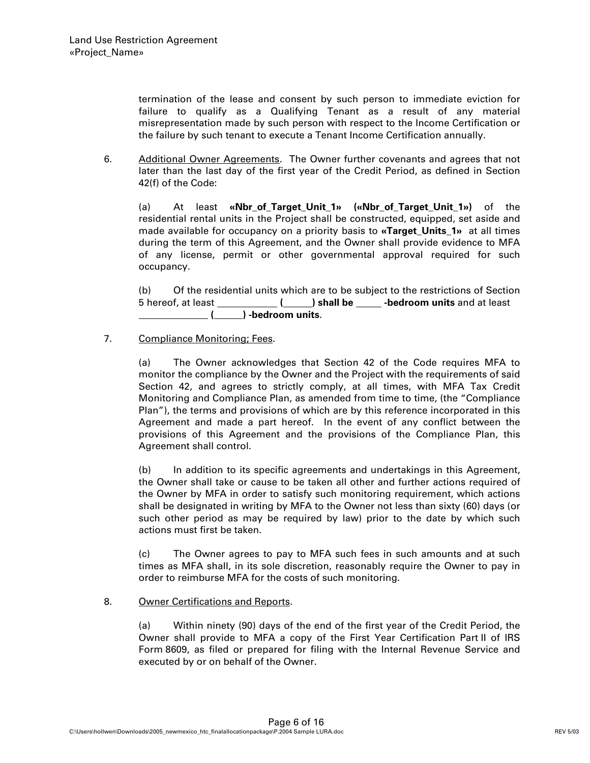termination of the lease and consent by such person to immediate eviction for failure to qualify as a Qualifying Tenant as a result of any material misrepresentation made by such person with respect to the Income Certification or the failure by such tenant to execute a Tenant Income Certification annually.

6. Additional Owner Agreements. The Owner further covenants and agrees that not later than the last day of the first year of the Credit Period, as defined in Section 42(f) of the Code:

(a) At least **«Nbr\_of\_Target\_Unit\_1» («Nbr\_of\_Target\_Unit\_1»)** of the residential rental units in the Project shall be constructed, equipped, set aside and made available for occupancy on a priority basis to **«Target\_Units\_1»** at all times during the term of this Agreement, and the Owner shall provide evidence to MFA of any license, permit or other governmental approval required for such occupancy.

(b) Of the residential units which are to be subject to the restrictions of Section 5 hereof, at least **( ) shall be -bedroom units** and at least  **( ) -bedroom units**.

#### 7. Compliance Monitoring; Fees.

(a) The Owner acknowledges that Section 42 of the Code requires MFA to monitor the compliance by the Owner and the Project with the requirements of said Section 42, and agrees to strictly comply, at all times, with MFA Tax Credit Monitoring and Compliance Plan, as amended from time to time, (the "Compliance Plan"), the terms and provisions of which are by this reference incorporated in this Agreement and made a part hereof. In the event of any conflict between the provisions of this Agreement and the provisions of the Compliance Plan, this Agreement shall control.

(b) In addition to its specific agreements and undertakings in this Agreement, the Owner shall take or cause to be taken all other and further actions required of the Owner by MFA in order to satisfy such monitoring requirement, which actions shall be designated in writing by MFA to the Owner not less than sixty (60) days (or such other period as may be required by law) prior to the date by which such actions must first be taken.

(c) The Owner agrees to pay to MFA such fees in such amounts and at such times as MFA shall, in its sole discretion, reasonably require the Owner to pay in order to reimburse MFA for the costs of such monitoring.

#### 8. Owner Certifications and Reports.

(a) Within ninety (90) days of the end of the first year of the Credit Period, the Owner shall provide to MFA a copy of the First Year Certification Part II of IRS Form 8609, as filed or prepared for filing with the Internal Revenue Service and executed by or on behalf of the Owner.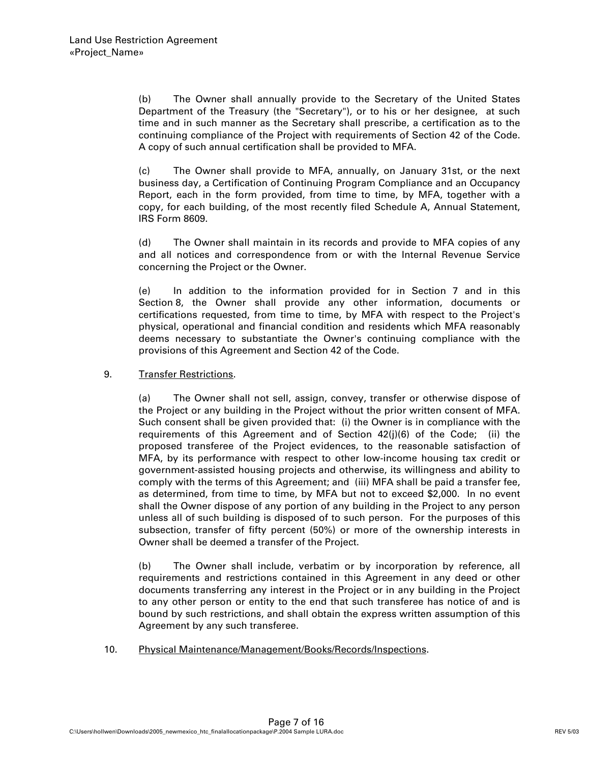(b) The Owner shall annually provide to the Secretary of the United States Department of the Treasury (the "Secretary"), or to his or her designee, at such time and in such manner as the Secretary shall prescribe, a certification as to the continuing compliance of the Project with requirements of Section 42 of the Code. A copy of such annual certification shall be provided to MFA.

(c) The Owner shall provide to MFA, annually, on January 31st, or the next business day, a Certification of Continuing Program Compliance and an Occupancy Report, each in the form provided, from time to time, by MFA, together with a copy, for each building, of the most recently filed Schedule A, Annual Statement, IRS Form 8609.

(d) The Owner shall maintain in its records and provide to MFA copies of any and all notices and correspondence from or with the Internal Revenue Service concerning the Project or the Owner.

(e) In addition to the information provided for in Section 7 and in this Section 8, the Owner shall provide any other information, documents or certifications requested, from time to time, by MFA with respect to the Project's physical, operational and financial condition and residents which MFA reasonably deems necessary to substantiate the Owner's continuing compliance with the provisions of this Agreement and Section 42 of the Code.

#### 9. Transfer Restrictions.

(a) The Owner shall not sell, assign, convey, transfer or otherwise dispose of the Project or any building in the Project without the prior written consent of MFA. Such consent shall be given provided that: (i) the Owner is in compliance with the requirements of this Agreement and of Section 42(j)(6) of the Code; (ii) the proposed transferee of the Project evidences, to the reasonable satisfaction of MFA, by its performance with respect to other low-income housing tax credit or government-assisted housing projects and otherwise, its willingness and ability to comply with the terms of this Agreement; and (iii) MFA shall be paid a transfer fee, as determined, from time to time, by MFA but not to exceed \$2,000. In no event shall the Owner dispose of any portion of any building in the Project to any person unless all of such building is disposed of to such person. For the purposes of this subsection, transfer of fifty percent (50%) or more of the ownership interests in Owner shall be deemed a transfer of the Project.

(b) The Owner shall include, verbatim or by incorporation by reference, all requirements and restrictions contained in this Agreement in any deed or other documents transferring any interest in the Project or in any building in the Project to any other person or entity to the end that such transferee has notice of and is bound by such restrictions, and shall obtain the express written assumption of this Agreement by any such transferee.

10. Physical Maintenance/Management/Books/Records/Inspections.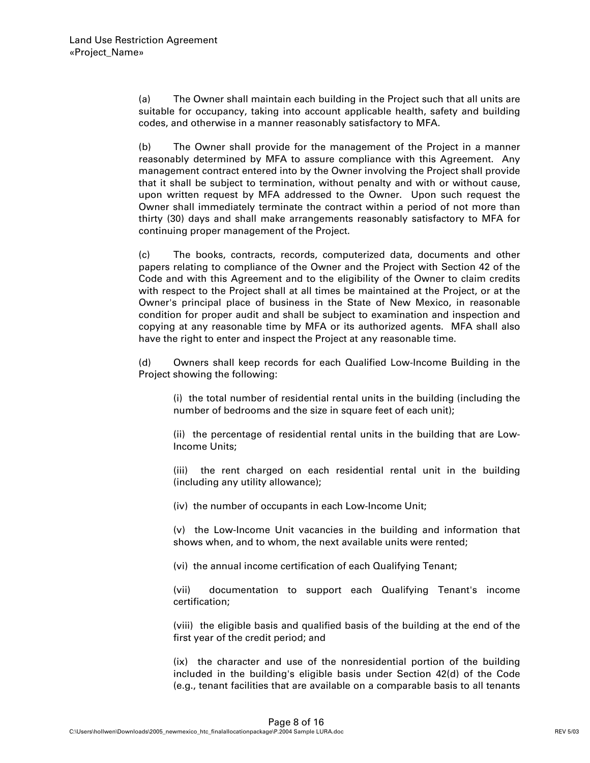(a) The Owner shall maintain each building in the Project such that all units are suitable for occupancy, taking into account applicable health, safety and building codes, and otherwise in a manner reasonably satisfactory to MFA.

(b) The Owner shall provide for the management of the Project in a manner reasonably determined by MFA to assure compliance with this Agreement. Any management contract entered into by the Owner involving the Project shall provide that it shall be subject to termination, without penalty and with or without cause, upon written request by MFA addressed to the Owner. Upon such request the Owner shall immediately terminate the contract within a period of not more than thirty (30) days and shall make arrangements reasonably satisfactory to MFA for continuing proper management of the Project.

(c) The books, contracts, records, computerized data, documents and other papers relating to compliance of the Owner and the Project with Section 42 of the Code and with this Agreement and to the eligibility of the Owner to claim credits with respect to the Project shall at all times be maintained at the Project, or at the Owner's principal place of business in the State of New Mexico, in reasonable condition for proper audit and shall be subject to examination and inspection and copying at any reasonable time by MFA or its authorized agents. MFA shall also have the right to enter and inspect the Project at any reasonable time.

(d) Owners shall keep records for each Qualified Low-Income Building in the Project showing the following:

(i) the total number of residential rental units in the building (including the number of bedrooms and the size in square feet of each unit);

(ii) the percentage of residential rental units in the building that are Low-Income Units;

(iii) the rent charged on each residential rental unit in the building (including any utility allowance);

(iv) the number of occupants in each Low-Income Unit;

(v) the Low-Income Unit vacancies in the building and information that shows when, and to whom, the next available units were rented;

(vi) the annual income certification of each Qualifying Tenant;

(vii) documentation to support each Qualifying Tenant's income certification;

(viii) the eligible basis and qualified basis of the building at the end of the first year of the credit period; and

(ix) the character and use of the nonresidential portion of the building included in the building's eligible basis under Section 42(d) of the Code (e.g., tenant facilities that are available on a comparable basis to all tenants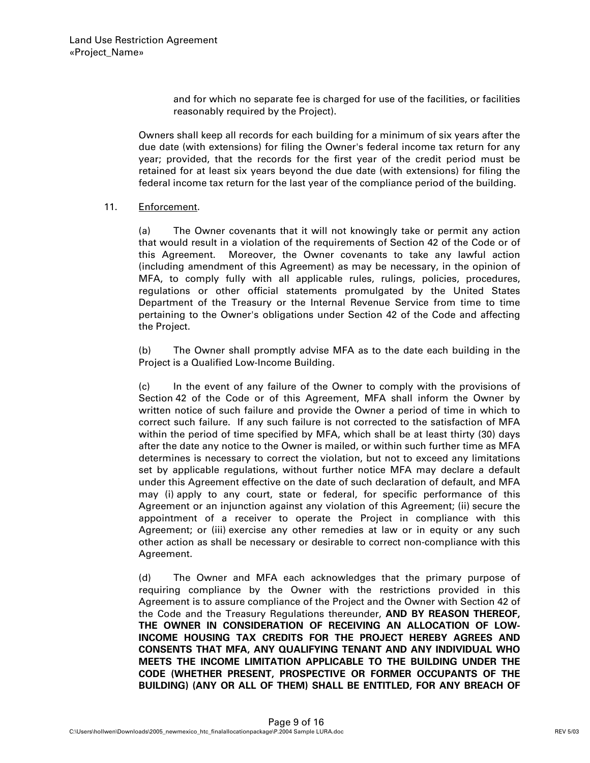and for which no separate fee is charged for use of the facilities, or facilities reasonably required by the Project).

Owners shall keep all records for each building for a minimum of six years after the due date (with extensions) for filing the Owner's federal income tax return for any year; provided, that the records for the first year of the credit period must be retained for at least six years beyond the due date (with extensions) for filing the federal income tax return for the last year of the compliance period of the building.

#### 11. Enforcement.

(a) The Owner covenants that it will not knowingly take or permit any action that would result in a violation of the requirements of Section 42 of the Code or of this Agreement. Moreover, the Owner covenants to take any lawful action (including amendment of this Agreement) as may be necessary, in the opinion of MFA, to comply fully with all applicable rules, rulings, policies, procedures, regulations or other official statements promulgated by the United States Department of the Treasury or the Internal Revenue Service from time to time pertaining to the Owner's obligations under Section 42 of the Code and affecting the Project.

(b) The Owner shall promptly advise MFA as to the date each building in the Project is a Qualified Low-Income Building.

(c) In the event of any failure of the Owner to comply with the provisions of Section 42 of the Code or of this Agreement, MFA shall inform the Owner by written notice of such failure and provide the Owner a period of time in which to correct such failure. If any such failure is not corrected to the satisfaction of MFA within the period of time specified by MFA, which shall be at least thirty (30) days after the date any notice to the Owner is mailed, or within such further time as MFA determines is necessary to correct the violation, but not to exceed any limitations set by applicable regulations, without further notice MFA may declare a default under this Agreement effective on the date of such declaration of default, and MFA may (i) apply to any court, state or federal, for specific performance of this Agreement or an injunction against any violation of this Agreement; (ii) secure the appointment of a receiver to operate the Project in compliance with this Agreement; or (iii) exercise any other remedies at law or in equity or any such other action as shall be necessary or desirable to correct non-compliance with this Agreement.

(d) The Owner and MFA each acknowledges that the primary purpose of requiring compliance by the Owner with the restrictions provided in this Agreement is to assure compliance of the Project and the Owner with Section 42 of the Code and the Treasury Regulations thereunder, **AND BY REASON THEREOF, THE OWNER IN CONSIDERATION OF RECEIVING AN ALLOCATION OF LOW-INCOME HOUSING TAX CREDITS FOR THE PROJECT HEREBY AGREES AND CONSENTS THAT MFA, ANY QUALIFYING TENANT AND ANY INDIVIDUAL WHO MEETS THE INCOME LIMITATION APPLICABLE TO THE BUILDING UNDER THE CODE (WHETHER PRESENT, PROSPECTIVE OR FORMER OCCUPANTS OF THE BUILDING) (ANY OR ALL OF THEM) SHALL BE ENTITLED, FOR ANY BREACH OF**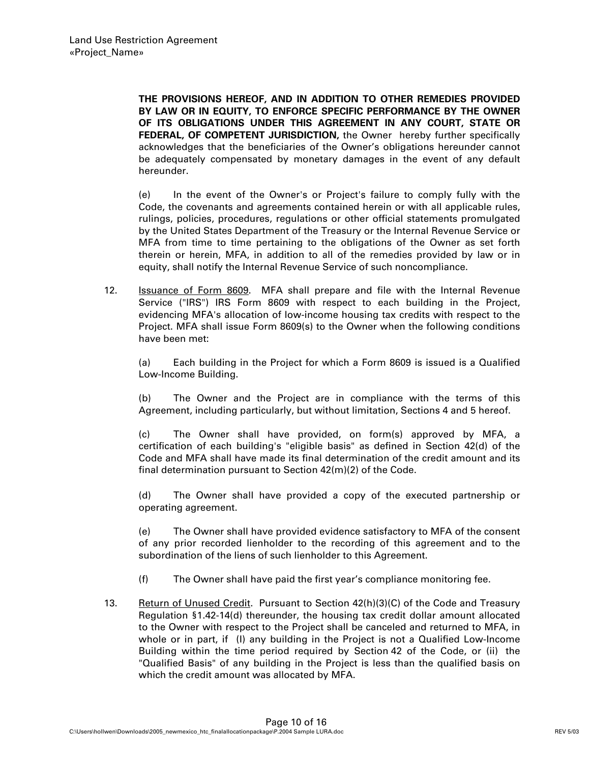**THE PROVISIONS HEREOF, AND IN ADDITION TO OTHER REMEDIES PROVIDED BY LAW OR IN EQUITY, TO ENFORCE SPECIFIC PERFORMANCE BY THE OWNER OF ITS OBLIGATIONS UNDER THIS AGREEMENT IN ANY COURT, STATE OR FEDERAL, OF COMPETENT JURISDICTION,** the Owner hereby further specifically acknowledges that the beneficiaries of the Owner's obligations hereunder cannot be adequately compensated by monetary damages in the event of any default hereunder.

(e) In the event of the Owner's or Project's failure to comply fully with the Code, the covenants and agreements contained herein or with all applicable rules, rulings, policies, procedures, regulations or other official statements promulgated by the United States Department of the Treasury or the Internal Revenue Service or MFA from time to time pertaining to the obligations of the Owner as set forth therein or herein, MFA, in addition to all of the remedies provided by law or in equity, shall notify the Internal Revenue Service of such noncompliance.

12. **Issuance of Form 8609.** MFA shall prepare and file with the Internal Revenue Service ("IRS") IRS Form 8609 with respect to each building in the Project, evidencing MFA's allocation of low-income housing tax credits with respect to the Project. MFA shall issue Form 8609(s) to the Owner when the following conditions have been met:

(a) Each building in the Project for which a Form 8609 is issued is a Qualified Low-Income Building.

(b) The Owner and the Project are in compliance with the terms of this Agreement, including particularly, but without limitation, Sections 4 and 5 hereof.

(c) The Owner shall have provided, on form(s) approved by MFA, a certification of each building's "eligible basis" as defined in Section 42(d) of the Code and MFA shall have made its final determination of the credit amount and its final determination pursuant to Section 42(m)(2) of the Code.

(d) The Owner shall have provided a copy of the executed partnership or operating agreement.

(e) The Owner shall have provided evidence satisfactory to MFA of the consent of any prior recorded lienholder to the recording of this agreement and to the subordination of the liens of such lienholder to this Agreement.

- (f) The Owner shall have paid the first year's compliance monitoring fee.
- 13. Return of Unused Credit. Pursuant to Section  $42(h)(3)(C)$  of the Code and Treasury Regulation §1.42-14(d) thereunder, the housing tax credit dollar amount allocated to the Owner with respect to the Project shall be canceled and returned to MFA, in whole or in part, if (I) any building in the Project is not a Qualified Low-Income Building within the time period required by Section 42 of the Code, or (ii) the "Qualified Basis" of any building in the Project is less than the qualified basis on which the credit amount was allocated by MFA.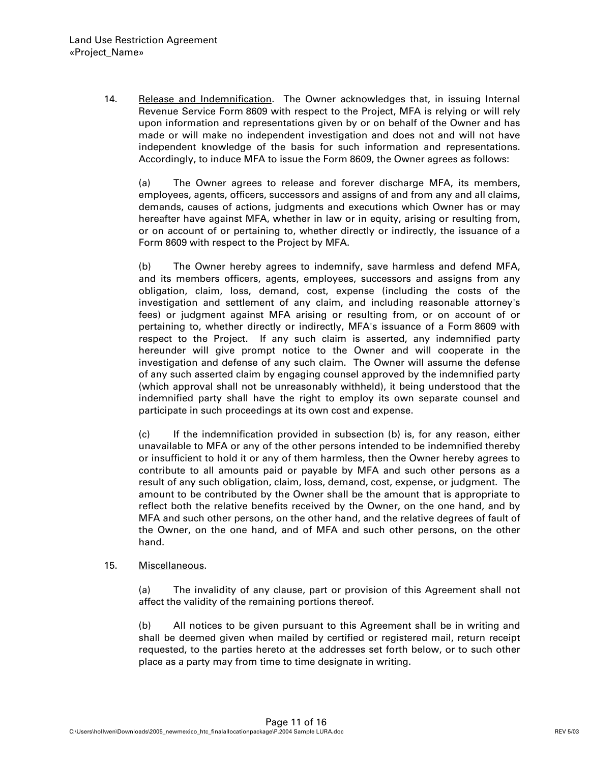14. Release and Indemnification. The Owner acknowledges that, in issuing Internal Revenue Service Form 8609 with respect to the Project, MFA is relying or will rely upon information and representations given by or on behalf of the Owner and has made or will make no independent investigation and does not and will not have independent knowledge of the basis for such information and representations. Accordingly, to induce MFA to issue the Form 8609, the Owner agrees as follows:

(a) The Owner agrees to release and forever discharge MFA, its members, employees, agents, officers, successors and assigns of and from any and all claims, demands, causes of actions, judgments and executions which Owner has or may hereafter have against MFA, whether in law or in equity, arising or resulting from, or on account of or pertaining to, whether directly or indirectly, the issuance of a Form 8609 with respect to the Project by MFA.

(b) The Owner hereby agrees to indemnify, save harmless and defend MFA, and its members officers, agents, employees, successors and assigns from any obligation, claim, loss, demand, cost, expense (including the costs of the investigation and settlement of any claim, and including reasonable attorney's fees) or judgment against MFA arising or resulting from, or on account of or pertaining to, whether directly or indirectly, MFA's issuance of a Form 8609 with respect to the Project. If any such claim is asserted, any indemnified party hereunder will give prompt notice to the Owner and will cooperate in the investigation and defense of any such claim. The Owner will assume the defense of any such asserted claim by engaging counsel approved by the indemnified party (which approval shall not be unreasonably withheld), it being understood that the indemnified party shall have the right to employ its own separate counsel and participate in such proceedings at its own cost and expense.

(c) If the indemnification provided in subsection (b) is, for any reason, either unavailable to MFA or any of the other persons intended to be indemnified thereby or insufficient to hold it or any of them harmless, then the Owner hereby agrees to contribute to all amounts paid or payable by MFA and such other persons as a result of any such obligation, claim, loss, demand, cost, expense, or judgment. The amount to be contributed by the Owner shall be the amount that is appropriate to reflect both the relative benefits received by the Owner, on the one hand, and by MFA and such other persons, on the other hand, and the relative degrees of fault of the Owner, on the one hand, and of MFA and such other persons, on the other hand.

#### 15. Miscellaneous.

(a) The invalidity of any clause, part or provision of this Agreement shall not affect the validity of the remaining portions thereof.

(b) All notices to be given pursuant to this Agreement shall be in writing and shall be deemed given when mailed by certified or registered mail, return receipt requested, to the parties hereto at the addresses set forth below, or to such other place as a party may from time to time designate in writing.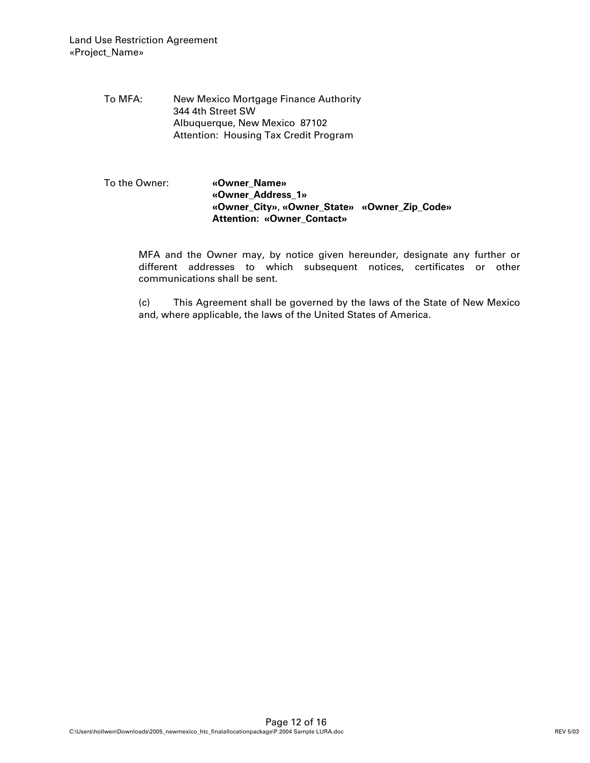To MFA: New Mexico Mortgage Finance Authority 344 4th Street SW Albuquerque, New Mexico 87102 Attention: Housing Tax Credit Program

# To the Owner: **«Owner\_Name» «Owner\_Address\_1» «Owner\_City»**, **«Owner\_State» «Owner\_Zip\_Code» Attention: «Owner\_Contact»**

MFA and the Owner may, by notice given hereunder, designate any further or different addresses to which subsequent notices, certificates or other communications shall be sent.

(c) This Agreement shall be governed by the laws of the State of New Mexico and, where applicable, the laws of the United States of America.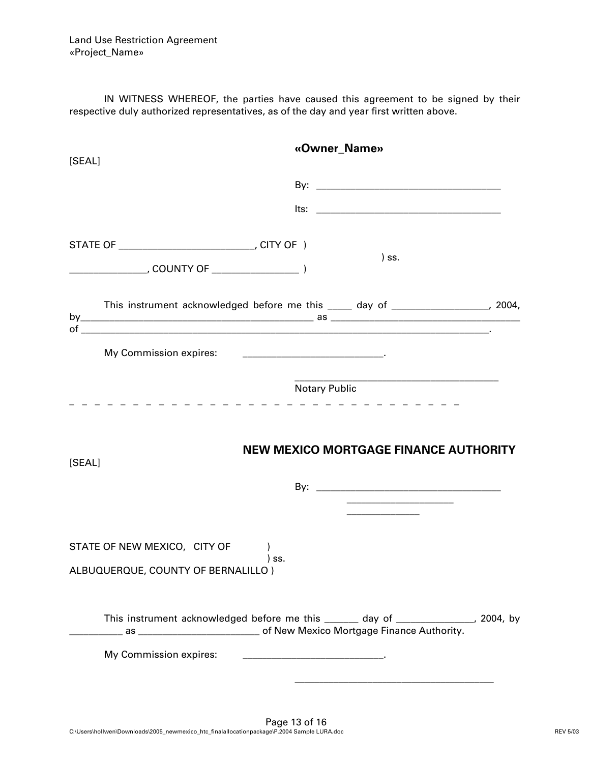IN WITNESS WHEREOF, the parties have caused this agreement to be signed by their respective duly authorized representatives, as of the day and year first written above.

| This instrument acknowledged before me this _____ day of __________________, 2004, |
|------------------------------------------------------------------------------------|
|                                                                                    |
| _ _ _ _ _ _ _ _ _ _ _                                                              |
| <b>NEW MEXICO MORTGAGE FINANCE AUTHORITY</b>                                       |
|                                                                                    |
|                                                                                    |
|                                                                                    |
|                                                                                    |
| This instrument acknowledged before me this ______ day of ______________, 2004, by |
|                                                                                    |
|                                                                                    |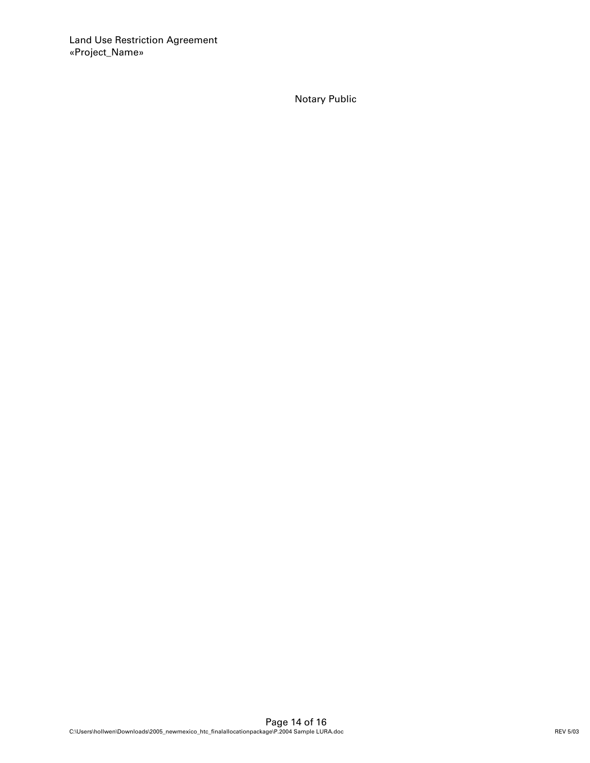Notary Public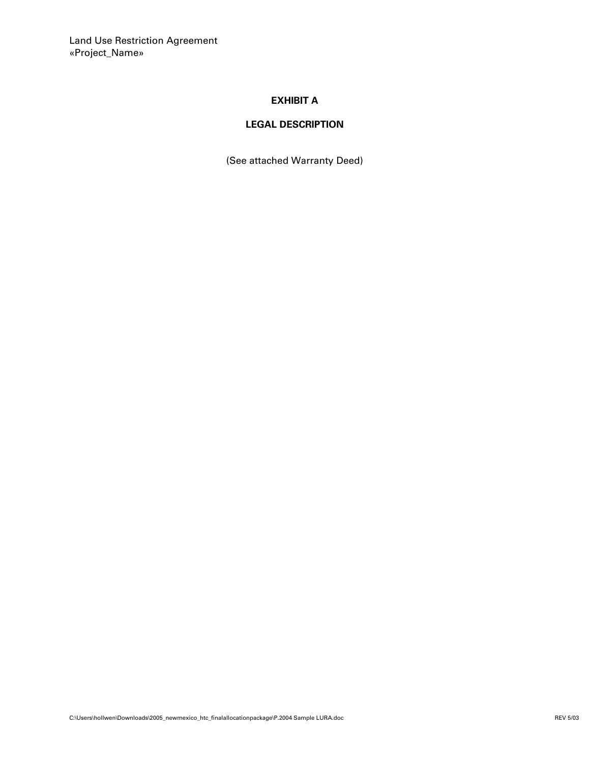Land Use Restriction Agreement «Project\_Name»

# **EXHIBIT A**

# **LEGAL DESCRIPTION**

(See attached Warranty Deed)